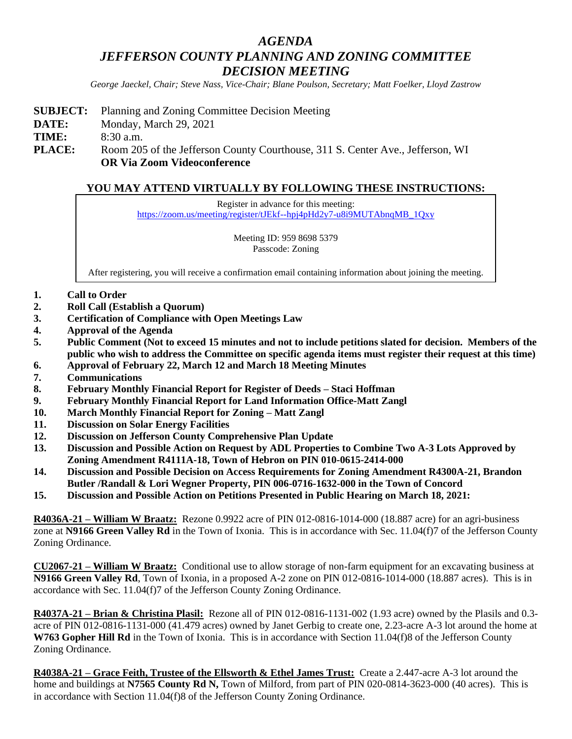# *AGENDA JEFFERSON COUNTY PLANNING AND ZONING COMMITTEE DECISION MEETING*

*George Jaeckel, Chair; Steve Nass, Vice-Chair; Blane Poulson, Secretary; Matt Foelker, Lloyd Zastrow*

- **SUBJECT:** Planning and Zoning Committee Decision Meeting
- **DATE:** Monday, March 29, 2021

**TIME:** 8:30 a.m.

**PLACE:** Room 205 of the Jefferson County Courthouse, 311 S. Center Ave., Jefferson, WI **OR Via Zoom Videoconference**

## **YOU MAY ATTEND VIRTUALLY BY FOLLOWING THESE INSTRUCTIONS:**

Register in advance for this meeting: [https://zoom.us/meeting/register/tJEkf--hpj4pHd2y7-u8i9MUTAbnqMB\\_1Qxy](https://zoom.us/meeting/register/tJEkf--hpj4pHd2y7-u8i9MUTAbnqMB_1Qxy)

> Meeting ID: 959 8698 5379 Passcode: Zoning

After registering, you will receive a confirmation email containing information about joining the meeting.

- **1. Call to Order**
- **2. Roll Call (Establish a Quorum)**
- **3. Certification of Compliance with Open Meetings Law**
- **4. Approval of the Agenda**
- **5. Public Comment (Not to exceed 15 minutes and not to include petitions slated for decision. Members of the public who wish to address the Committee on specific agenda items must register their request at this time)**
- **6. Approval of February 22, March 12 and March 18 Meeting Minutes**
- **7. Communications**
- **8. February Monthly Financial Report for Register of Deeds – Staci Hoffman**
- **9. February Monthly Financial Report for Land Information Office-Matt Zangl**
- **10. March Monthly Financial Report for Zoning – Matt Zangl**
- **11. Discussion on Solar Energy Facilities**
- **12. Discussion on Jefferson County Comprehensive Plan Update**
- **13. Discussion and Possible Action on Request by ADL Properties to Combine Two A-3 Lots Approved by Zoning Amendment R4111A-18, Town of Hebron on PIN 010-0615-2414-000**
- **14. Discussion and Possible Decision on Access Requirements for Zoning Amendment R4300A-21, Brandon Butler /Randall & Lori Wegner Property, PIN 006-0716-1632-000 in the Town of Concord**
- **15. Discussion and Possible Action on Petitions Presented in Public Hearing on March 18, 2021:**

**R4036A-21 – William W Braatz:** Rezone 0.9922 acre of PIN 012-0816-1014-000 (18.887 acre) for an agri-business zone at **N9166 Green Valley Rd** in the Town of Ixonia. This is in accordance with Sec. 11.04(f)7 of the Jefferson County Zoning Ordinance.

**CU2067-21 – William W Braatz:** Conditional use to allow storage of non-farm equipment for an excavating business at **N9166 Green Valley Rd**, Town of Ixonia, in a proposed A-2 zone on PIN 012-0816-1014-000 (18.887 acres). This is in accordance with Sec. 11.04(f)7 of the Jefferson County Zoning Ordinance.

**R4037A-21 – Brian & Christina Plasil:** Rezone all of PIN 012-0816-1131-002 (1.93 acre) owned by the Plasils and 0.3 acre of PIN 012-0816-1131-000 (41.479 acres) owned by Janet Gerbig to create one, 2.23-acre A-3 lot around the home at **W763 Gopher Hill Rd** in the Town of Ixonia. This is in accordance with Section 11.04(f)8 of the Jefferson County Zoning Ordinance.

**R4038A-21 – Grace Feith, Trustee of the Ellsworth & Ethel James Trust:** Create a 2.447-acre A-3 lot around the home and buildings at **N7565 County Rd N,** Town of Milford, from part of PIN 020-0814-3623-000 (40 acres). This is in accordance with Section 11.04(f)8 of the Jefferson County Zoning Ordinance.